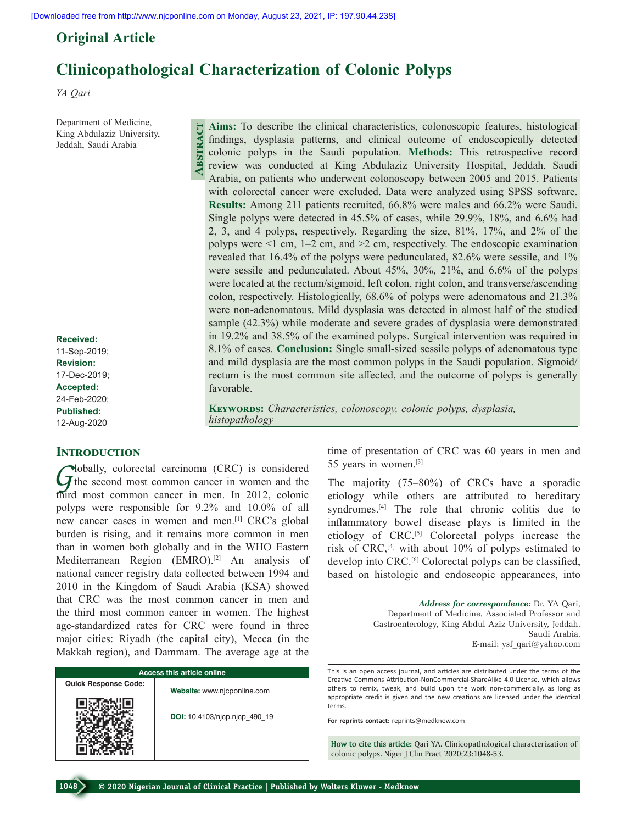**Abstract**

# **Original Article**

# **Clinicopathological Characterization of Colonic Polyps**

*YA Qari*

Department of Medicine, King Abdulaziz University, Jeddah, Saudi Arabia

**Received:** 11-Sep-2019; **Revision:** 17-Dec-2019; **Accepted:** 24-Feb-2020; **Published:** 12-Aug-2020

## **INTRODUCTION**

Globally, colorectal carcinoma (CRC) is considered<br>
the second most common cancer in women and the<br>
the second most common cancer in women In 2012 calculation third most common cancer in men. In 2012, colonic polyps were responsible for 9.2% and 10.0% of all new cancer cases in women and men.[1] CRC's global burden is rising, and it remains more common in men than in women both globally and in the WHO Eastern Mediterranean Region (EMRO).<sup>[2]</sup> An analysis of national cancer registry data collected between 1994 and 2010 in the Kingdom of Saudi Arabia (KSA) showed that CRC was the most common cancer in men and the third most common cancer in women. The highest age‑standardized rates for CRC were found in three major cities: Riyadh (the capital city), Mecca (in the Makkah region), and Dammam. The average age at the

| <b>Access this article online</b> |                               |  |  |  |
|-----------------------------------|-------------------------------|--|--|--|
| <b>Quick Response Code:</b>       | Website: www.njcponline.com   |  |  |  |
|                                   | DOI: 10.4103/njcp.njcp 490 19 |  |  |  |
|                                   |                               |  |  |  |

**Aims:** To describe the clinical characteristics, colonoscopic features, histological findings, dysplasia patterns, and clinical outcome of endoscopically detected colonic polyps in the Saudi population. **Methods:** This retrospective record review was conducted at King Abdulaziz University Hospital, Jeddah, Saudi Arabia, on patients who underwent colonoscopy between 2005 and 2015. Patients with colorectal cancer were excluded. Data were analyzed using SPSS software. **Results:** Among 211 patients recruited, 66.8% were males and 66.2% were Saudi. Single polyps were detected in 45.5% of cases, while 29.9%, 18%, and 6.6% had 2, 3, and 4 polyps, respectively. Regarding the size, 81%, 17%, and 2% of the polyps were  $\leq 1$  cm,  $1-2$  cm, and  $\geq 2$  cm, respectively. The endoscopic examination revealed that 16.4% of the polyps were pedunculated, 82.6% were sessile, and 1% were sessile and pedunculated. About 45%, 30%, 21%, and 6.6% of the polyps were located at the rectum/sigmoid, left colon, right colon, and transverse/ascending colon, respectively. Histologically, 68.6% of polyps were adenomatous and 21.3% were non‑adenomatous. Mild dysplasia was detected in almost half of the studied sample (42.3%) while moderate and severe grades of dysplasia were demonstrated in 19.2% and 38.5% of the examined polyps. Surgical intervention was required in 8.1% of cases. **Conclusion:** Single small‑sized sessile polyps of adenomatous type and mild dysplasia are the most common polyps in the Saudi population. Sigmoid/ rectum is the most common site affected, and the outcome of polyps is generally favorable.

**Keywords:** *Characteristics, colonoscopy, colonic polyps, dysplasia, histopathology*

> time of presentation of CRC was 60 years in men and 55 years in women.[3]

> The majority (75–80%) of CRCs have a sporadic etiology while others are attributed to hereditary syndromes.[4] The role that chronic colitis due to inflammatory bowel disease plays is limited in the etiology of CRC.[5] Colorectal polyps increase the risk of CRC,[4] with about 10% of polyps estimated to develop into CRC.<sup>[6]</sup> Colorectal polyps can be classified, based on histologic and endoscopic appearances, into

> > *Address for correspondence:* Dr. YA Qari, Department of Medicine, Associated Professor and Gastroenterology, King Abdul Aziz University, Jeddah, Saudi Arabia, E‑mail: ysf\_qari@yahoo.com

This is an open access journal, and articles are distributed under the terms of the Creative Commons Attribution‑NonCommercial‑ShareAlike 4.0 License, which allows others to remix, tweak, and build upon the work non‑commercially, as long as appropriate credit is given and the new creations are licensed under the identical terms.

**For reprints contact:** reprints@medknow.com

**How to cite this article:** Qari YA. Clinicopathological characterization of colonic polyps. Niger J Clin Pract 2020;23:1048-53.

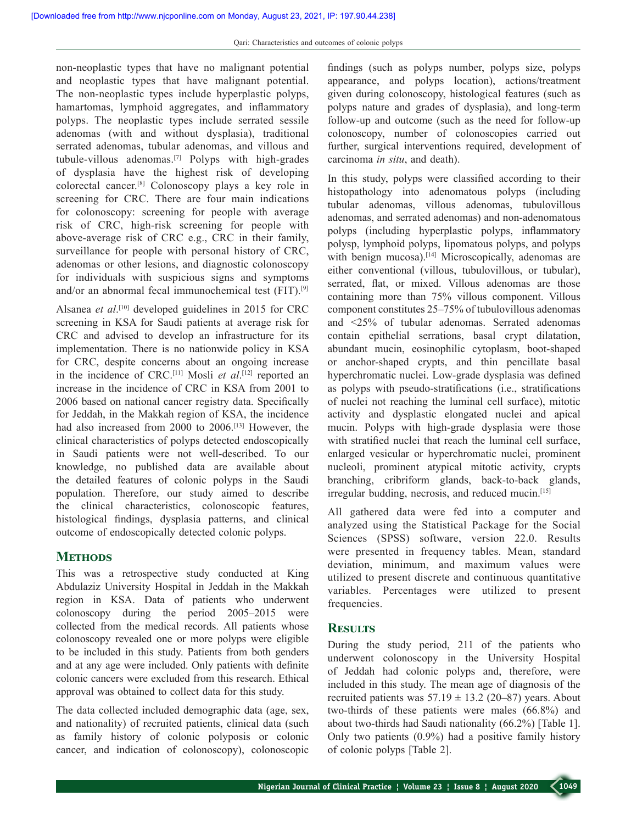non‑neoplastic types that have no malignant potential and neoplastic types that have malignant potential. The non-neoplastic types include hyperplastic polyps, hamartomas, lymphoid aggregates, and inflammatory polyps. The neoplastic types include serrated sessile adenomas (with and without dysplasia), traditional serrated adenomas, tubular adenomas, and villous and tubule-villous adenomas.<sup>[7]</sup> Polyps with high-grades of dysplasia have the highest risk of developing colorectal cancer.[8] Colonoscopy plays a key role in screening for CRC. There are four main indications for colonoscopy: screening for people with average risk of CRC, high-risk screening for people with above‑average risk of CRC e.g., CRC in their family, surveillance for people with personal history of CRC, adenomas or other lesions, and diagnostic colonoscopy for individuals with suspicious signs and symptoms and/or an abnormal fecal immunochemical test (FIT).[9]

Alsanea *et al*. [10] developed guidelines in 2015 for CRC screening in KSA for Saudi patients at average risk for CRC and advised to develop an infrastructure for its implementation. There is no nationwide policy in KSA for CRC, despite concerns about an ongoing increase in the incidence of CRC.[11] Mosli *et al*. [12] reported an increase in the incidence of CRC in KSA from 2001 to 2006 based on national cancer registry data. Specifically for Jeddah, in the Makkah region of KSA, the incidence had also increased from 2000 to 2006.<sup>[13]</sup> However, the clinical characteristics of polyps detected endoscopically in Saudi patients were not well-described. To our knowledge, no published data are available about the detailed features of colonic polyps in the Saudi population. Therefore, our study aimed to describe the clinical characteristics, colonoscopic features, histological findings, dysplasia patterns, and clinical outcome of endoscopically detected colonic polyps.

# **METHODS**

This was a retrospective study conducted at King Abdulaziz University Hospital in Jeddah in the Makkah region in KSA. Data of patients who underwent colonoscopy during the period 2005–2015 were collected from the medical records. All patients whose colonoscopy revealed one or more polyps were eligible to be included in this study. Patients from both genders and at any age were included. Only patients with definite colonic cancers were excluded from this research. Ethical approval was obtained to collect data for this study.

The data collected included demographic data (age, sex, and nationality) of recruited patients, clinical data (such as family history of colonic polyposis or colonic cancer, and indication of colonoscopy), colonoscopic findings (such as polyps number, polyps size, polyps appearance, and polyps location), actions/treatment given during colonoscopy, histological features (such as polyps nature and grades of dysplasia), and long‑term follow‑up and outcome (such as the need for follow‑up colonoscopy, number of colonoscopies carried out further, surgical interventions required, development of carcinoma *in situ*, and death).

In this study, polyps were classified according to their histopathology into adenomatous polyps (including tubular adenomas, villous adenomas, tubulovillous adenomas, and serrated adenomas) and non‑adenomatous polyps (including hyperplastic polyps, inflammatory polysp, lymphoid polyps, lipomatous polyps, and polyps with benign mucosa).<sup>[14]</sup> Microscopically, adenomas are either conventional (villous, tubulovillous, or tubular), serrated, flat, or mixed. Villous adenomas are those containing more than 75% villous component. Villous component constitutes 25–75% of tubulovillous adenomas and <25% of tubular adenomas. Serrated adenomas contain epithelial serrations, basal crypt dilatation, abundant mucin, eosinophilic cytoplasm, boot‑shaped or anchor‑shaped crypts, and thin pencillate basal hyperchromatic nuclei. Low‑grade dysplasia was defined as polyps with pseudo‑stratifications (i.e., stratifications of nuclei not reaching the luminal cell surface), mitotic activity and dysplastic elongated nuclei and apical mucin. Polyps with high-grade dysplasia were those with stratified nuclei that reach the luminal cell surface, enlarged vesicular or hyperchromatic nuclei, prominent nucleoli, prominent atypical mitotic activity, crypts branching, cribriform glands, back‑to‑back glands, irregular budding, necrosis, and reduced mucin.[15]

All gathered data were fed into a computer and analyzed using the Statistical Package for the Social Sciences (SPSS) software, version 22.0. Results were presented in frequency tables. Mean, standard deviation, minimum, and maximum values were utilized to present discrete and continuous quantitative variables. Percentages were utilized to present frequencies.

# **Results**

During the study period, 211 of the patients who underwent colonoscopy in the University Hospital of Jeddah had colonic polyps and, therefore, were included in this study. The mean age of diagnosis of the recruited patients was  $57.19 \pm 13.2$  (20–87) years. About two-thirds of these patients were males (66.8%) and about two-thirds had Saudi nationality (66.2%) [Table 1]. Only two patients (0.9%) had a positive family history of colonic polyps [Table 2].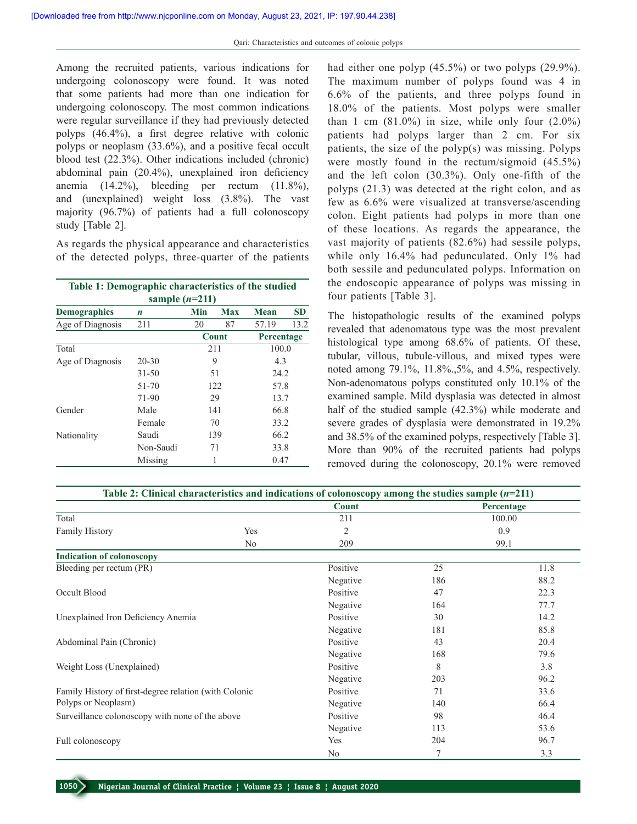Among the recruited patients, various indications for undergoing colonoscopy were found. It was noted that some patients had more than one indication for undergoing colonoscopy. The most common indications were regular surveillance if they had previously detected polyps (46.4%), a first degree relative with colonic polyps or neoplasm (33.6%), and a positive fecal occult blood test (22.3%). Other indications included (chronic) abdominal pain (20.4%), unexplained iron deficiency anemia (14.2%), bleeding per rectum (11.8%), and (unexplained) weight loss (3.8%). The vast majority (96.7%) of patients had a full colonoscopy study [Table 2].

As regards the physical appearance and characteristics of the detected polyps, three‑quarter of the patients

| Table 1: Demographic characteristics of the studied |           |     |            |            |           |  |  |
|-----------------------------------------------------|-----------|-----|------------|------------|-----------|--|--|
| sample $(n=211)$                                    |           |     |            |            |           |  |  |
| <b>Demographics</b>                                 | n         | Min | <b>Max</b> | Mean       | <b>SD</b> |  |  |
| Age of Diagnosis                                    | 211       | 20  | 87         | 57.19      | 13.2      |  |  |
|                                                     |           |     | Count      | Percentage |           |  |  |
| Total                                               |           |     | 211        | 100.0      |           |  |  |
| Age of Diagnosis                                    | $20 - 30$ | 9   |            | 4.3        |           |  |  |
|                                                     | $31 - 50$ | 51  |            | 24.2       |           |  |  |
|                                                     | 51-70     | 122 |            | 57.8       |           |  |  |
|                                                     | 71-90     | 29  |            | 13.7       |           |  |  |
| Gender                                              | Male      | 141 |            | 66.8       |           |  |  |
|                                                     | Female    | 70  |            | 33.2       |           |  |  |
| Nationality                                         | Saudi     | 139 |            | 66.2       |           |  |  |
|                                                     | Non-Saudi | 71  |            | 33.8       |           |  |  |
|                                                     | Missing   | 1   |            | 0.47       |           |  |  |

had either one polyp (45.5%) or two polyps (29.9%). The maximum number of polyps found was 4 in 6.6% of the patients, and three polyps found in 18.0% of the patients. Most polyps were smaller than 1 cm  $(81.0\%)$  in size, while only four  $(2.0\%)$ patients had polyps larger than 2 cm. For six patients, the size of the polyp(s) was missing. Polyps were mostly found in the rectum/sigmoid (45.5%) and the left colon  $(30.3\%)$ . Only one-fifth of the polyps (21.3) was detected at the right colon, and as few as 6.6% were visualized at transverse/ascending colon. Eight patients had polyps in more than one of these locations. As regards the appearance, the vast majority of patients (82.6%) had sessile polyps, while only 16.4% had pedunculated. Only 1% had both sessile and pedunculated polyps. Information on the endoscopic appearance of polyps was missing in four patients [Table 3].

The histopathologic results of the examined polyps revealed that adenomatous type was the most prevalent histological type among 68.6% of patients. Of these, tubular, villous, tubule-villous, and mixed types were noted among 79.1%, 11.8%.,5%, and 4.5%, respectively. Non‑adenomatous polyps constituted only 10.1% of the examined sample. Mild dysplasia was detected in almost half of the studied sample (42.3%) while moderate and severe grades of dysplasia were demonstrated in 19.2% and 38.5% of the examined polyps, respectively [Table 3]. More than 90% of the recruited patients had polyps removed during the colonoscopy, 20.1% were removed

| Table 2: Clinical characteristics and indications of colonoscopy among the studies sample $(n=211)$ |                |              |                |        |  |
|-----------------------------------------------------------------------------------------------------|----------------|--------------|----------------|--------|--|
|                                                                                                     |                | <b>Count</b> | Percentage     |        |  |
| Total                                                                                               |                | 211          |                | 100.00 |  |
| <b>Family History</b>                                                                               | Yes            | 2            |                | 0.9    |  |
|                                                                                                     | N <sub>o</sub> | 209          |                | 99.1   |  |
| <b>Indication of colonoscopy</b>                                                                    |                |              |                |        |  |
| Bleeding per rectum (PR)                                                                            |                | Positive     | 25             | 11.8   |  |
|                                                                                                     |                | Negative     | 186            | 88.2   |  |
| Occult Blood                                                                                        |                | Positive     | 47             | 22.3   |  |
|                                                                                                     |                | Negative     | 164            | 77.7   |  |
| Unexplained Iron Deficiency Anemia                                                                  |                | Positive     | 30             | 14.2   |  |
|                                                                                                     |                | Negative     | 181            | 85.8   |  |
| Abdominal Pain (Chronic)                                                                            |                | Positive     | 43             | 20.4   |  |
|                                                                                                     |                | Negative     | 168            | 79.6   |  |
| Weight Loss (Unexplained)                                                                           |                | Positive     | 8              | 3.8    |  |
|                                                                                                     |                | Negative     | 203            | 96.2   |  |
| Family History of first-degree relation (with Colonic                                               |                | Positive     | 71             | 33.6   |  |
| Polyps or Neoplasm)                                                                                 |                | Negative     | 140            | 66.4   |  |
| Surveillance colonoscopy with none of the above                                                     |                | Positive     | 98             | 46.4   |  |
|                                                                                                     |                | Negative     | 113            | 53.6   |  |
| Full colonoscopy                                                                                    |                | Yes          | 204            | 96.7   |  |
|                                                                                                     |                | No           | $\overline{7}$ | 3.3    |  |

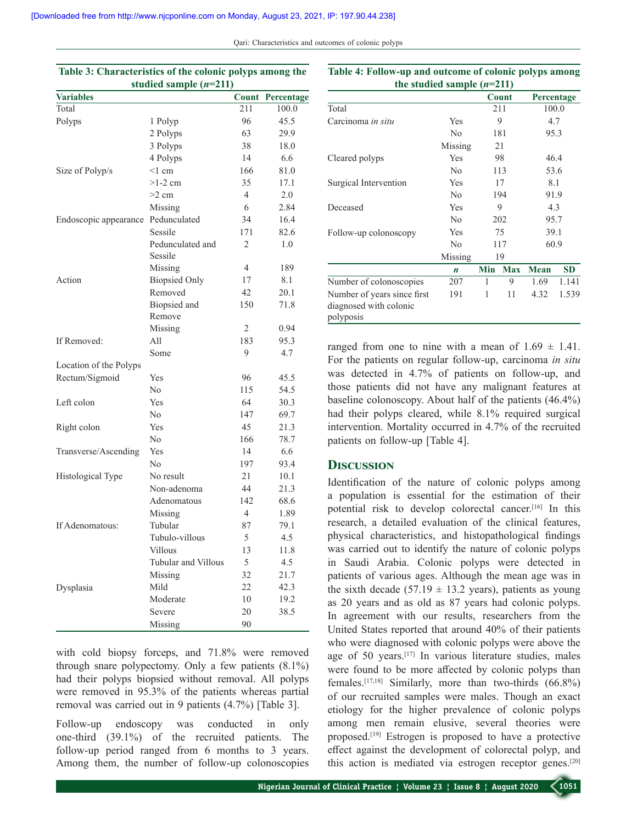**Table 3: Characteristics of the colonic polyps among the** 

Qari: Characteristics and outcomes of colonic polyps

| Table 5: Characteristics of the colonic polyps among the<br>studied sample $(n=211)$ |                             |                |            |  |
|--------------------------------------------------------------------------------------|-----------------------------|----------------|------------|--|
| <b>Variables</b>                                                                     |                             | Count          | Percentage |  |
| Total                                                                                |                             | 211            | 100.0      |  |
| Polyps                                                                               | 1 Polyp                     | 96             | 45.5       |  |
|                                                                                      | 2 Polyps                    | 63             | 29.9       |  |
|                                                                                      | 3 Polyps                    | 38             | 18.0       |  |
|                                                                                      | 4 Polyps                    | 14             | 6.6        |  |
| Size of Polyp/s                                                                      | $<1$ cm                     | 166            | 81.0       |  |
|                                                                                      | $>1-2$ cm                   | 35             | 17.1       |  |
|                                                                                      | $>2$ cm                     | $\overline{4}$ | 2.0        |  |
|                                                                                      | Missing                     | 6              | 2.84       |  |
| Endoscopic appearance                                                                | Pedunculated                | 34             | 16.4       |  |
|                                                                                      | Sessile                     | 171            | 82.6       |  |
|                                                                                      | Pedunculated and<br>Sessile | 2              | 1.0        |  |
|                                                                                      | Missing                     | 4              | 189        |  |
| Action                                                                               | <b>Biopsied Only</b>        | 17             | 8.1        |  |
|                                                                                      | Removed                     | 42             | 20.1       |  |
|                                                                                      |                             | 150            |            |  |
|                                                                                      | Biopsied and<br>Remove      |                | 71.8       |  |
|                                                                                      | Missing                     | 2              | 0.94       |  |
| If Removed:                                                                          | All                         | 183            | 95.3       |  |
|                                                                                      | Some                        | 9              | 4.7        |  |
| Location of the Polyps                                                               |                             |                |            |  |
| Rectum/Sigmoid                                                                       | Yes                         | 96             | 45.5       |  |
|                                                                                      | No                          | 115            | 54.5       |  |
| Left colon                                                                           | Yes                         | 64             | 30.3       |  |
|                                                                                      | No                          | 147            | 69.7       |  |
| Right colon                                                                          | Yes                         | 45             | 21.3       |  |
|                                                                                      | No                          | 166            | 78.7       |  |
| Transverse/Ascending                                                                 | Yes                         | 14             | 6.6        |  |
|                                                                                      | No                          | 197            | 93.4       |  |
| Histological Type                                                                    | No result                   | 21             | 10.1       |  |
|                                                                                      | Non-adenoma                 | 44             | 21.3       |  |
|                                                                                      | Adenomatous                 | 142            | 68.6       |  |
|                                                                                      | Missing                     | $\overline{4}$ | 1.89       |  |
| If Adenomatous:                                                                      | Tubular                     | 87             | 79.1       |  |
|                                                                                      | Tubulo-villous              | 5              | $4.5$      |  |
|                                                                                      | Villous                     | 13             | 11.8       |  |
|                                                                                      | Tubular and Villous         | 5              |            |  |
|                                                                                      |                             |                | 4.5        |  |
|                                                                                      | Missing<br>Mild             | 32             | 21.7       |  |
| Dysplasia                                                                            |                             | 22             | 42.3       |  |
|                                                                                      | Moderate                    | 10             | 19.2       |  |
|                                                                                      | Severe                      | 20             | 38.5       |  |
|                                                                                      | Missing                     | 90             |            |  |

with cold biopsy forceps, and 71.8% were removed through snare polypectomy. Only a few patients (8.1%) had their polyps biopsied without removal. All polyps were removed in 95.3% of the patients whereas partial removal was carried out in 9 patients (4.7%) [Table 3].

Follow-up endoscopy was conducted in only one‑third (39.1%) of the recruited patients. The follow-up period ranged from 6 months to 3 years. Among them, the number of follow-up colonoscopies

| the studied sample $(n=211)$                                       |                  |     |            |             |            |  |
|--------------------------------------------------------------------|------------------|-----|------------|-------------|------------|--|
|                                                                    |                  |     | Count      |             | Percentage |  |
| Total                                                              |                  |     | 211        |             | 100.0      |  |
| Carcinoma in situ                                                  | Yes              | 9   |            | 4.7         |            |  |
|                                                                    | No               | 181 |            | 95.3        |            |  |
|                                                                    | Missing          | 21  |            |             |            |  |
| Cleared polyps                                                     | Yes              | 98  |            | 46.4        |            |  |
|                                                                    | N <sub>0</sub>   | 113 |            | 53.6        |            |  |
| Surgical Intervention                                              | Yes              | 17  |            | 8.1         |            |  |
|                                                                    | No               | 194 |            | 91.9        |            |  |
| Deceased                                                           | Yes              | 9   |            | 4.3         |            |  |
|                                                                    | No               | 202 |            | 95.7        |            |  |
| Follow-up colonoscopy                                              | Yes              | 75  |            | 39.1        |            |  |
|                                                                    | N <sub>0</sub>   | 117 |            | 60.9        |            |  |
|                                                                    | Missing          | 19  |            |             |            |  |
|                                                                    | $\boldsymbol{n}$ | Min | <b>Max</b> | <b>Mean</b> | <b>SD</b>  |  |
| Number of colonoscopies                                            | 207              | 1   | 9          | 1.69        | 1.141      |  |
| Number of years since first<br>diagnosed with colonic<br>polyposis | 191              | 1   | 11         | 4.32        | 1.539      |  |

**Table 4: Follow-up and outcome of colonic polyps among** 

ranged from one to nine with a mean of  $1.69 \pm 1.41$ . For the patients on regular follow‑up, carcinoma *in situ*  was detected in 4.7% of patients on follow-up, and those patients did not have any malignant features at baseline colonoscopy. About half of the patients (46.4%) had their polyps cleared, while 8.1% required surgical intervention. Mortality occurred in 4.7% of the recruited patients on follow-up [Table 4].

#### **Discussion**

Identification of the nature of colonic polyps among a population is essential for the estimation of their potential risk to develop colorectal cancer.<sup>[16]</sup> In this research, a detailed evaluation of the clinical features, physical characteristics, and histopathological findings was carried out to identify the nature of colonic polyps in Saudi Arabia. Colonic polyps were detected in patients of various ages. Although the mean age was in the sixth decade (57.19  $\pm$  13.2 years), patients as young as 20 years and as old as 87 years had colonic polyps. In agreement with our results, researchers from the United States reported that around 40% of their patients who were diagnosed with colonic polyps were above the age of 50 years.[17] In various literature studies, males were found to be more affected by colonic polyps than females.<sup>[17,18]</sup> Similarly, more than two-thirds  $(66.8\%)$ of our recruited samples were males. Though an exact etiology for the higher prevalence of colonic polyps among men remain elusive, several theories were proposed.[19] Estrogen is proposed to have a protective effect against the development of colorectal polyp, and this action is mediated via estrogen receptor genes.[20]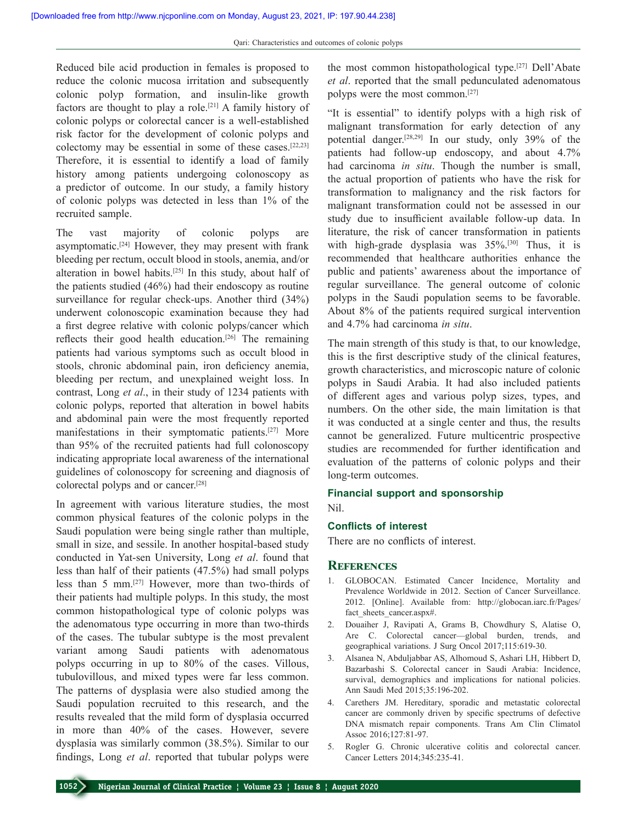Reduced bile acid production in females is proposed to reduce the colonic mucosa irritation and subsequently colonic polyp formation, and insulin-like growth factors are thought to play a role.<sup>[21]</sup> A family history of colonic polyps or colorectal cancer is a well-established risk factor for the development of colonic polyps and colectomy may be essential in some of these cases.[22,23] Therefore, it is essential to identify a load of family history among patients undergoing colonoscopy as a predictor of outcome. In our study, a family history of colonic polyps was detected in less than 1% of the recruited sample.

The vast majority of colonic polyps are asymptomatic.<sup>[24]</sup> However, they may present with frank bleeding per rectum, occult blood in stools, anemia, and/or alteration in bowel habits.[25] In this study, about half of the patients studied (46%) had their endoscopy as routine surveillance for regular check-ups. Another third  $(34%)$ underwent colonoscopic examination because they had a first degree relative with colonic polyps/cancer which reflects their good health education.<sup>[26]</sup> The remaining patients had various symptoms such as occult blood in stools, chronic abdominal pain, iron deficiency anemia, bleeding per rectum, and unexplained weight loss. In contrast, Long *et al*., in their study of 1234 patients with colonic polyps, reported that alteration in bowel habits and abdominal pain were the most frequently reported manifestations in their symptomatic patients.[27] More than 95% of the recruited patients had full colonoscopy indicating appropriate local awareness of the international guidelines of colonoscopy for screening and diagnosis of colorectal polyps and or cancer.[28]

In agreement with various literature studies, the most common physical features of the colonic polyps in the Saudi population were being single rather than multiple, small in size, and sessile. In another hospital-based study conducted in Yat‑sen University, Long *et al*. found that less than half of their patients (47.5%) had small polyps less than 5 mm.<sup>[27]</sup> However, more than two-thirds of their patients had multiple polyps. In this study, the most common histopathological type of colonic polyps was the adenomatous type occurring in more than two-thirds of the cases. The tubular subtype is the most prevalent variant among Saudi patients with adenomatous polyps occurring in up to 80% of the cases. Villous, tubulovillous, and mixed types were far less common. The patterns of dysplasia were also studied among the Saudi population recruited to this research, and the results revealed that the mild form of dysplasia occurred in more than 40% of the cases. However, severe dysplasia was similarly common (38.5%). Similar to our findings, Long *et al*. reported that tubular polyps were

the most common histopathological type.[27] Dell'Abate *et al*. reported that the small pedunculated adenomatous polyps were the most common.[27]

"It is essential" to identify polyps with a high risk of malignant transformation for early detection of any potential danger.[28,29] In our study, only 39% of the patients had follow-up endoscopy, and about 4.7% had carcinoma *in situ*. Though the number is small, the actual proportion of patients who have the risk for transformation to malignancy and the risk factors for malignant transformation could not be assessed in our study due to insufficient available follow‑up data. In literature, the risk of cancer transformation in patients with high-grade dysplasia was  $35\%$ .<sup>[30]</sup> Thus, it is recommended that healthcare authorities enhance the public and patients' awareness about the importance of regular surveillance. The general outcome of colonic polyps in the Saudi population seems to be favorable. About 8% of the patients required surgical intervention and 4.7% had carcinoma *in situ*.

The main strength of this study is that, to our knowledge, this is the first descriptive study of the clinical features, growth characteristics, and microscopic nature of colonic polyps in Saudi Arabia. It had also included patients of different ages and various polyp sizes, types, and numbers. On the other side, the main limitation is that it was conducted at a single center and thus, the results cannot be generalized. Future multicentric prospective studies are recommended for further identification and evaluation of the patterns of colonic polyps and their long-term outcomes.

#### **Financial support and sponsorship**

Nil.

# **Conflicts of interest**

There are no conflicts of interest.

### **References**

- 1. GLOBOCAN. Estimated Cancer Incidence, Mortality and Prevalence Worldwide in 2012. Section of Cancer Surveillance. 2012. [Online]. Available from: http://globocan.iarc.fr/Pages/ fact sheets cancer.aspx#.
- 2. Douaiher J, Ravipati A, Grams B, Chowdhury S, Alatise O, Are C. Colorectal cancer—global burden, trends, and geographical variations. J Surg Oncol 2017;115:619-30.
- 3. Alsanea N, Abduljabbar AS, Alhomoud S, Ashari LH, Hibbert D, Bazarbashi S. Colorectal cancer in Saudi Arabia: Incidence, survival, demographics and implications for national policies. Ann Saudi Med 2015;35:196-202.
- 4. Carethers JM. Hereditary, sporadic and metastatic colorectal cancer are commonly driven by specific spectrums of defective DNA mismatch repair components. Trans Am Clin Climatol Assoc 2016;127:81‑97.
- 5. Rogler G. Chronic ulcerative colitis and colorectal cancer. Cancer Letters 2014;345:235‑41.